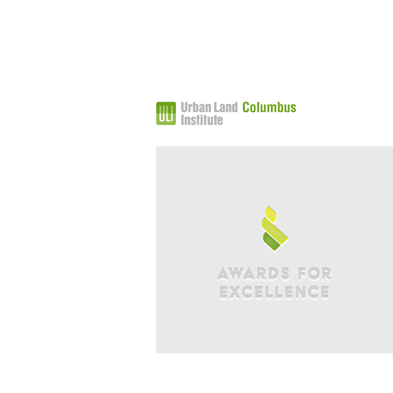

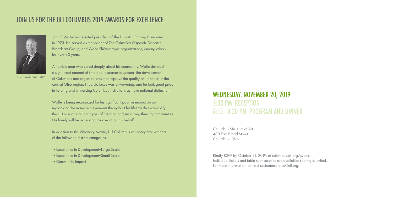## JOIN US FOR THE ULI COLUMBUS 2019 AWARDS FOR EXCELLENCE



John F. Wolfe was elected president of The Dispatch Printing Company in 1973. He served as the leader of *The Columbus Dispatch*, Dispatch Broadcast Group, and Wolfe Philanthropic organizations, among others, for over 40 years.

A humble man who cared deeply about his community, Wolfe devoted a significant amount of time and resources to support the development

John F. Wolfe, 1943*–*2016

of Columbus and organizations that improve the quality of life for all in the central Ohio region. His civic focus was unwavering, and he took great pride in helping and witnessing Columbus institutions achieve national distinction.

Wolfe is being recognized for his significant positive impact on our region and the many achievements throughout his lifetime that exemplify the ULI mission and principles of creating and sustaining thriving communities. His family will be accepting the award on his behalf.

In addition to the Visionary Award, ULI Columbus will recognize winners of the following distinct categories:

- •Excellence in Development*–*Large Scale
- •Excellence in Development*–*Small Scale
- •Community Impact

## WEDNESDAY, NOVEMBER 20, 2019 5:30 PM RECEPTION 6:15 - 8:30 PM PROGRAM AND DINNER

Columbus Museum of Art 480 East Broad Street Columbus, Ohio

Kindly RSVP by October 31, 2019, at columbus.uli.org/events. Individual tickets and table sponsorships are available; seating is limited. For more information, contact customerservice@uli.org.